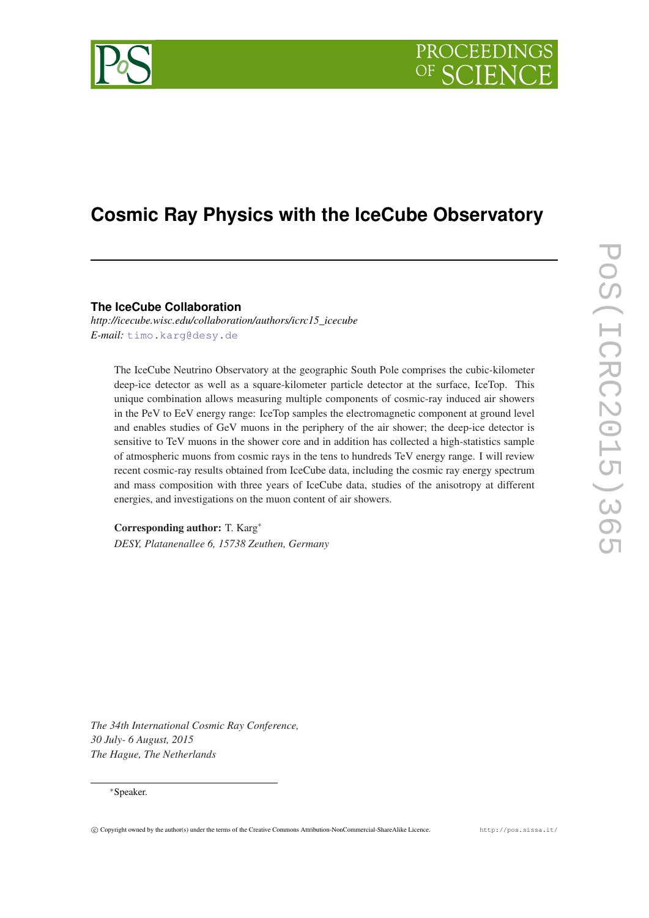

# **Cosmic Ray Physics with the IceCube Observatory**

**The IceCube Collaboration**

*http://icecube.wisc.edu/collaboration/authors/icrc15\_icecube E-mail:* [timo.karg@desy.de](mailto:timo.karg@desy.de)

The IceCube Neutrino Observatory at the geographic South Pole comprises the cubic-kilometer deep-ice detector as well as a square-kilometer particle detector at the surface, IceTop. This unique combination allows measuring multiple components of cosmic-ray induced air showers in the PeV to EeV energy range: IceTop samples the electromagnetic component at ground level and enables studies of GeV muons in the periphery of the air shower; the deep-ice detector is sensitive to TeV muons in the shower core and in addition has collected a high-statistics sample of atmospheric muons from cosmic rays in the tens to hundreds TeV energy range. I will review recent cosmic-ray results obtained from IceCube data, including the cosmic ray energy spectrum and mass composition with three years of IceCube data, studies of the anisotropy at different energies, and investigations on the muon content of air showers.

Corresponding author: T. Karg<sup>∗</sup> *DESY, Platanenallee 6, 15738 Zeuthen, Germany*

*The 34th International Cosmic Ray Conference, 30 July- 6 August, 2015 The Hague, The Netherlands*

## <sup>∗</sup>Speaker.

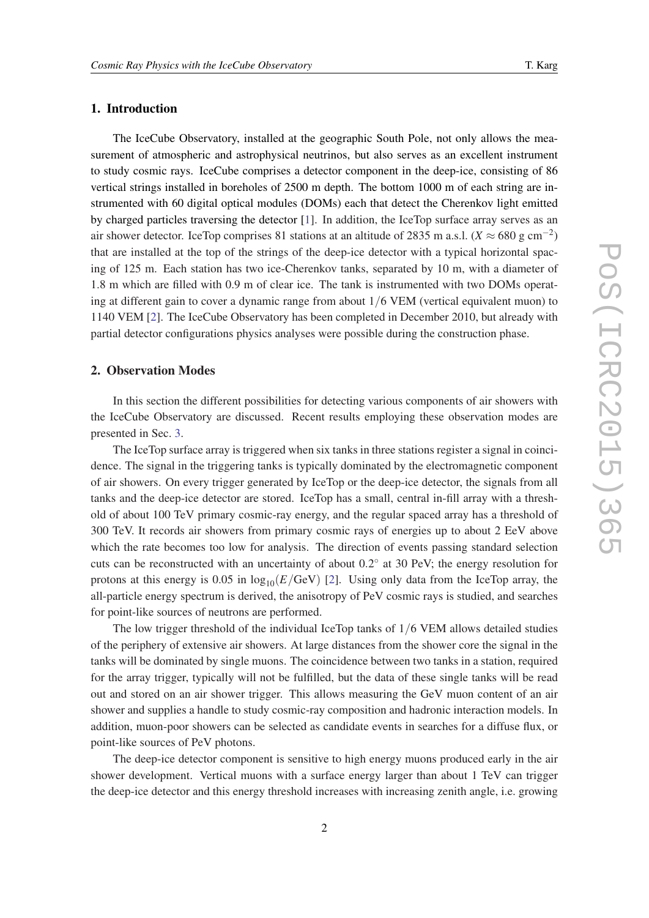# 1. Introduction

The IceCube Observatory, installed at the geographic South Pole, not only allows the measurement of atmospheric and astrophysical neutrinos, but also serves as an excellent instrument to study cosmic rays. IceCube comprises a detector component in the deep-ice, consisting of 86 vertical strings installed in boreholes of 2500 m depth. The bottom 1000 m of each string are instrumented with 60 digital optical modules (DOMs) each that detect the Cherenkov light emitted by charged particles traversing the detector [\[1\]](#page-7-0). In addition, the IceTop surface array serves as an air shower detector. IceTop comprises 81 stations at an altitude of 2835 m a.s.l. ( $X \approx 680 \text{ g cm}^{-2}$ ) that are installed at the top of the strings of the deep-ice detector with a typical horizontal spacing of 125 m. Each station has two ice-Cherenkov tanks, separated by 10 m, with a diameter of 1.8 m which are filled with 0.9 m of clear ice. The tank is instrumented with two DOMs operating at different gain to cover a dynamic range from about 1/6 VEM (vertical equivalent muon) to 1140 VEM [\[2\]](#page-7-0). The IceCube Observatory has been completed in December 2010, but already with partial detector configurations physics analyses were possible during the construction phase.

# 2. Observation Modes

In this section the different possibilities for detecting various components of air showers with the IceCube Observatory are discussed. Recent results employing these observation modes are presented in Sec. [3.](#page-2-0)

The IceTop surface array is triggered when six tanks in three stations register a signal in coincidence. The signal in the triggering tanks is typically dominated by the electromagnetic component of air showers. On every trigger generated by IceTop or the deep-ice detector, the signals from all tanks and the deep-ice detector are stored. IceTop has a small, central in-fill array with a threshold of about 100 TeV primary cosmic-ray energy, and the regular spaced array has a threshold of 300 TeV. It records air showers from primary cosmic rays of energies up to about 2 EeV above which the rate becomes too low for analysis. The direction of events passing standard selection cuts can be reconstructed with an uncertainty of about 0.2° at 30 PeV; the energy resolution for protons at this energy is 0.05 in  $\log_{10}(E/\text{GeV})$  [[2](#page-7-0)]. Using only data from the IceTop array, the all-particle energy spectrum is derived, the anisotropy of PeV cosmic rays is studied, and searches for point-like sources of neutrons are performed.

The low trigger threshold of the individual IceTop tanks of 1/6 VEM allows detailed studies of the periphery of extensive air showers. At large distances from the shower core the signal in the tanks will be dominated by single muons. The coincidence between two tanks in a station, required for the array trigger, typically will not be fulfilled, but the data of these single tanks will be read out and stored on an air shower trigger. This allows measuring the GeV muon content of an air shower and supplies a handle to study cosmic-ray composition and hadronic interaction models. In addition, muon-poor showers can be selected as candidate events in searches for a diffuse flux, or point-like sources of PeV photons.

The deep-ice detector component is sensitive to high energy muons produced early in the air shower development. Vertical muons with a surface energy larger than about 1 TeV can trigger the deep-ice detector and this energy threshold increases with increasing zenith angle, i.e. growing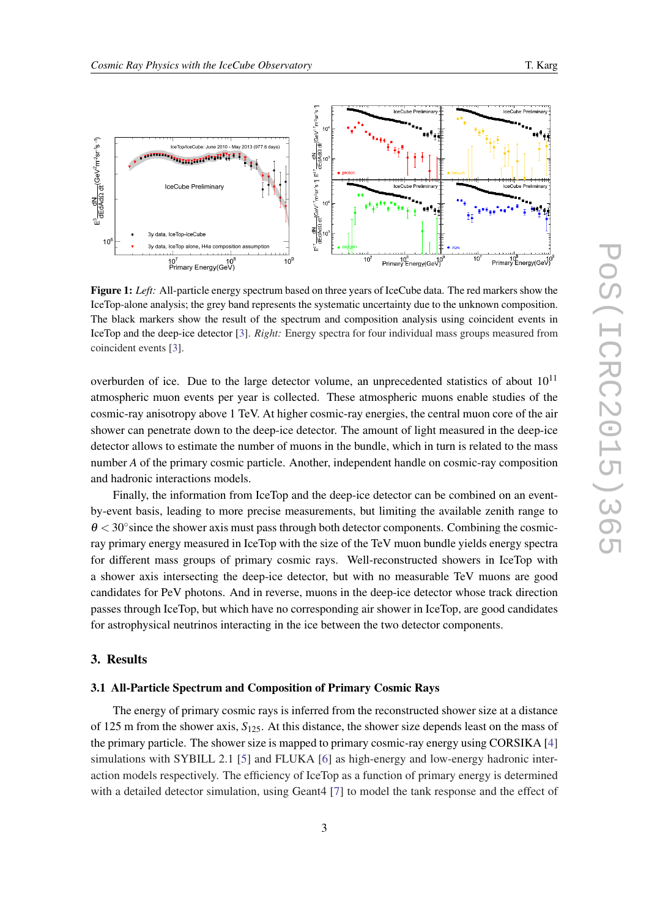<span id="page-2-0"></span>

Figure 1: *Left:* All-particle energy spectrum based on three years of IceCube data. The red markers show the IceTop-alone analysis; the grey band represents the systematic uncertainty due to the unknown composition. The black markers show the result of the spectrum and composition analysis using coincident events in IceTop and the deep-ice detector [\[3](#page-7-0)]. *Right:* Energy spectra for four individual mass groups measured from coincident events [\[3](#page-7-0)].

overburden of ice. Due to the large detector volume, an unprecedented statistics of about  $10^{11}$ atmospheric muon events per year is collected. These atmospheric muons enable studies of the cosmic-ray anisotropy above 1 TeV. At higher cosmic-ray energies, the central muon core of the air shower can penetrate down to the deep-ice detector. The amount of light measured in the deep-ice detector allows to estimate the number of muons in the bundle, which in turn is related to the mass number *A* of the primary cosmic particle. Another, independent handle on cosmic-ray composition and hadronic interactions models.

Finally, the information from IceTop and the deep-ice detector can be combined on an eventby-event basis, leading to more precise measurements, but limiting the available zenith range to  $\theta$  < 30° since the shower axis must pass through both detector components. Combining the cosmicray primary energy measured in IceTop with the size of the TeV muon bundle yields energy spectra for different mass groups of primary cosmic rays. Well-reconstructed showers in IceTop with a shower axis intersecting the deep-ice detector, but with no measurable TeV muons are good candidates for PeV photons. And in reverse, muons in the deep-ice detector whose track direction passes through IceTop, but which have no corresponding air shower in IceTop, are good candidates for astrophysical neutrinos interacting in the ice between the two detector components.

# 3. Results

### 3.1 All-Particle Spectrum and Composition of Primary Cosmic Rays

The energy of primary cosmic rays is inferred from the reconstructed shower size at a distance of 125 m from the shower axis, *S*125. At this distance, the shower size depends least on the mass of the primary particle. The shower size is mapped to primary cosmic-ray energy using CORSIKA [[4](#page-7-0)] simulations with SYBILL 2.1 [\[5\]](#page-7-0) and FLUKA [[6](#page-7-0)] as high-energy and low-energy hadronic interaction models respectively. The efficiency of IceTop as a function of primary energy is determined with a detailed detector simulation, using Geant4 [\[7\]](#page-7-0) to model the tank response and the effect of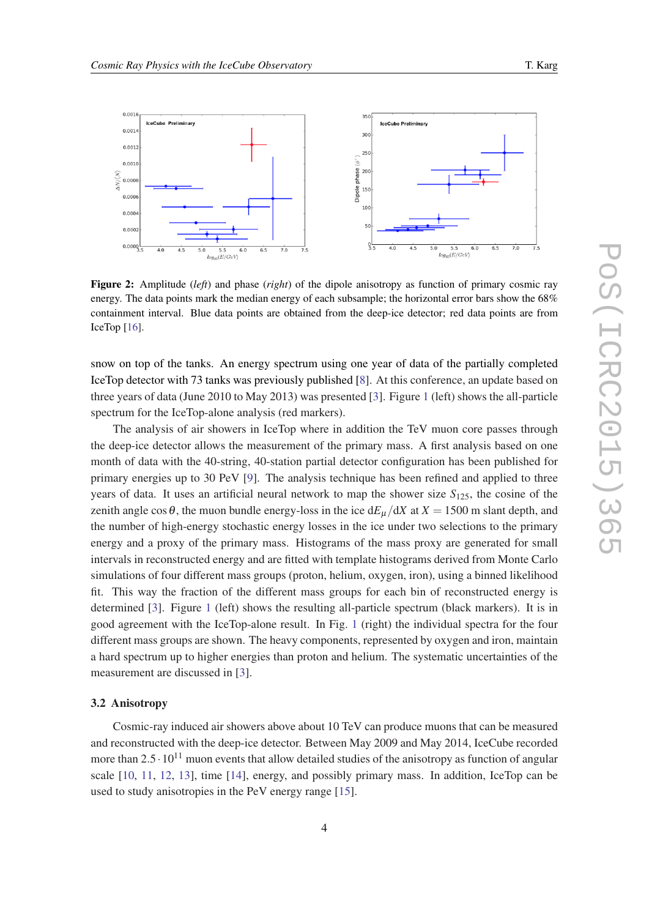<span id="page-3-0"></span>

Figure 2: Amplitude (*left*) and phase (*right*) of the dipole anisotropy as function of primary cosmic ray energy. The data points mark the median energy of each subsample; the horizontal error bars show the 68% containment interval. Blue data points are obtained from the deep-ice detector; red data points are from IceTop [[16\]](#page-7-0).

snow on top of the tanks. An energy spectrum using one year of data of the partially completed IceTop detector with 73 tanks was previously published [[8](#page-7-0)]. At this conference, an update based on three years of data (June 2010 to May 2013) was presented [\[3\]](#page-7-0). Figure [1](#page-2-0) (left) shows the all-particle spectrum for the IceTop-alone analysis (red markers).

The analysis of air showers in IceTop where in addition the TeV muon core passes through the deep-ice detector allows the measurement of the primary mass. A first analysis based on one month of data with the 40-string, 40-station partial detector configuration has been published for primary energies up to 30 PeV [[9](#page-7-0)]. The analysis technique has been refined and applied to three years of data. It uses an artificial neural network to map the shower size *S*125, the cosine of the zenith angle cos  $\theta$ , the muon bundle energy-loss in the ice  $dE_\mu/dX$  at  $X = 1500$  m slant depth, and the number of high-energy stochastic energy losses in the ice under two selections to the primary energy and a proxy of the primary mass. Histograms of the mass proxy are generated for small intervals in reconstructed energy and are fitted with template histograms derived from Monte Carlo simulations of four different mass groups (proton, helium, oxygen, iron), using a binned likelihood fit. This way the fraction of the different mass groups for each bin of reconstructed energy is determined [\[3\]](#page-7-0). Figure [1](#page-2-0) (left) shows the resulting all-particle spectrum (black markers). It is in good agreement with the IceTop-alone result. In Fig. [1](#page-2-0) (right) the individual spectra for the four different mass groups are shown. The heavy components, represented by oxygen and iron, maintain a hard spectrum up to higher energies than proton and helium. The systematic uncertainties of the measurement are discussed in [[3](#page-7-0)].

#### 3.2 Anisotropy

Cosmic-ray induced air showers above about 10 TeV can produce muons that can be measured and reconstructed with the deep-ice detector. Between May 2009 and May 2014, IceCube recorded more than  $2.5 \cdot 10^{11}$  muon events that allow detailed studies of the anisotropy as function of angular scale [\[10](#page-7-0), [11](#page-7-0), [12](#page-7-0), [13\]](#page-7-0), time [\[14](#page-7-0)], energy, and possibly primary mass. In addition, IceTop can be used to study anisotropies in the PeV energy range [[15\]](#page-7-0).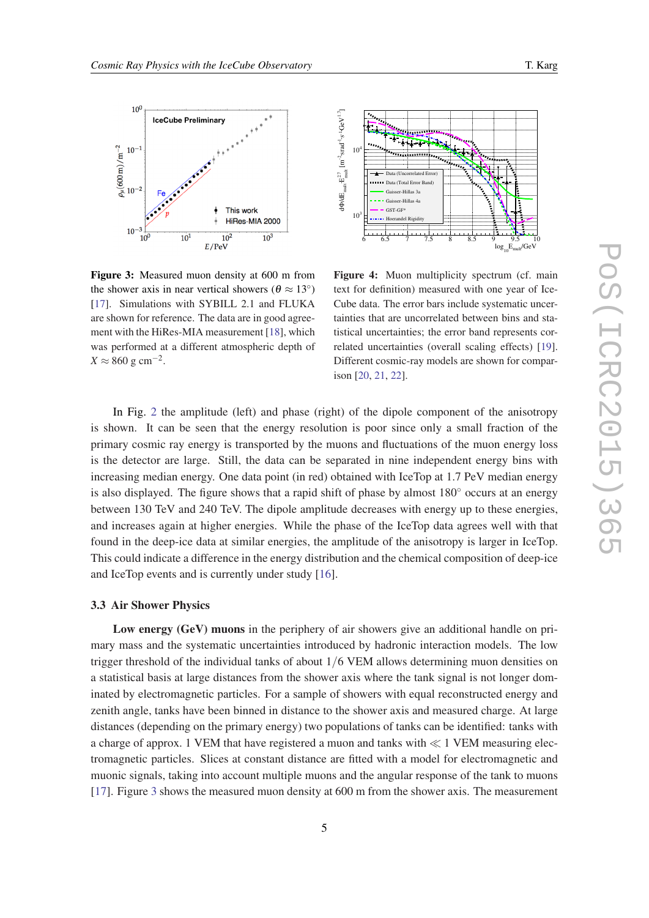<span id="page-4-0"></span>

Figure 3: Measured muon density at 600 m from the shower axis in near vertical showers ( $\theta \approx 13^{\circ}$ ) [[17\]](#page-7-0). Simulations with SYBILL 2.1 and FLUKA are shown for reference. The data are in good agreement with the HiRes-MIA measurement [[18\]](#page-7-0), which was performed at a different atmospheric depth of  $X \approx 860$  g cm<sup>-2</sup>.



Figure 4: Muon multiplicity spectrum (cf. main text for definition) measured with one year of Ice-Cube data. The error bars include systematic uncertainties that are uncorrelated between bins and statistical uncertainties; the error band represents correlated uncertainties (overall scaling effects) [\[19](#page-7-0)]. Different cosmic-ray models are shown for comparison [[20,](#page-7-0) [21,](#page-7-0) [22](#page-7-0)].

In Fig. [2](#page-3-0) the amplitude (left) and phase (right) of the dipole component of the anisotropy is shown. It can be seen that the energy resolution is poor since only a small fraction of the primary cosmic ray energy is transported by the muons and fluctuations of the muon energy loss is the detector are large. Still, the data can be separated in nine independent energy bins with increasing median energy. One data point (in red) obtained with IceTop at 1.7 PeV median energy is also displayed. The figure shows that a rapid shift of phase by almost 180◦ occurs at an energy between 130 TeV and 240 TeV. The dipole amplitude decreases with energy up to these energies, and increases again at higher energies. While the phase of the IceTop data agrees well with that found in the deep-ice data at similar energies, the amplitude of the anisotropy is larger in IceTop. This could indicate a difference in the energy distribution and the chemical composition of deep-ice and IceTop events and is currently under study [[16\]](#page-7-0).

#### 3.3 Air Shower Physics

Low energy (GeV) muons in the periphery of air showers give an additional handle on primary mass and the systematic uncertainties introduced by hadronic interaction models. The low trigger threshold of the individual tanks of about 1/6 VEM allows determining muon densities on a statistical basis at large distances from the shower axis where the tank signal is not longer dominated by electromagnetic particles. For a sample of showers with equal reconstructed energy and zenith angle, tanks have been binned in distance to the shower axis and measured charge. At large distances (depending on the primary energy) two populations of tanks can be identified: tanks with a charge of approx. 1 VEM that have registered a muon and tanks with  $\ll 1$  VEM measuring electromagnetic particles. Slices at constant distance are fitted with a model for electromagnetic and muonic signals, taking into account multiple muons and the angular response of the tank to muons [[17\]](#page-7-0). Figure 3 shows the measured muon density at 600 m from the shower axis. The measurement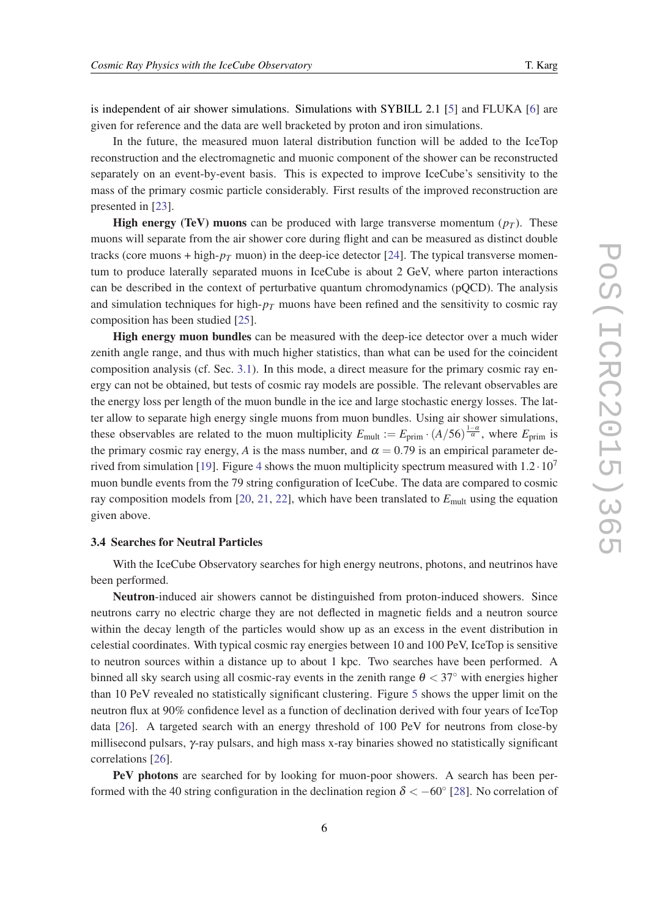is independent of air shower simulations. Simulations with SYBILL 2.1 [\[5\]](#page-7-0) and FLUKA [\[6\]](#page-7-0) are given for reference and the data are well bracketed by proton and iron simulations.

In the future, the measured muon lateral distribution function will be added to the IceTop reconstruction and the electromagnetic and muonic component of the shower can be reconstructed separately on an event-by-event basis. This is expected to improve IceCube's sensitivity to the mass of the primary cosmic particle considerably. First results of the improved reconstruction are presented in [[23\]](#page-7-0).

**High energy (TeV) muons** can be produced with large transverse momentum  $(p_T)$ . These muons will separate from the air shower core during flight and can be measured as distinct double tracks (core muons + high- $p<sub>T</sub>$  muon) in the deep-ice detector [[24\]](#page-7-0). The typical transverse momentum to produce laterally separated muons in IceCube is about 2 GeV, where parton interactions can be described in the context of perturbative quantum chromodynamics (pQCD). The analysis and simulation techniques for high- $p<sub>T</sub>$  muons have been refined and the sensitivity to cosmic ray composition has been studied [\[25](#page-7-0)].

High energy muon bundles can be measured with the deep-ice detector over a much wider zenith angle range, and thus with much higher statistics, than what can be used for the coincident composition analysis (cf. Sec. [3.1](#page-2-0)). In this mode, a direct measure for the primary cosmic ray energy can not be obtained, but tests of cosmic ray models are possible. The relevant observables are the energy loss per length of the muon bundle in the ice and large stochastic energy losses. The latter allow to separate high energy single muons from muon bundles. Using air shower simulations, these observables are related to the muon multiplicity  $E_{\text{mult}} := E_{\text{prim}} \cdot (A/56)^{\frac{1-\alpha}{\alpha}}$ , where  $E_{\text{prim}}$  is the primary cosmic ray energy, *A* is the mass number, and  $\alpha = 0.79$  is an empirical parameter de-rived from simulation [[19](#page-7-0)]. Figure [4](#page-4-0) shows the muon multiplicity spectrum measured with  $1.2 \cdot 10^{7}$ muon bundle events from the 79 string configuration of IceCube. The data are compared to cosmic ray composition models from [[20](#page-7-0), [21](#page-7-0), [22\]](#page-7-0), which have been translated to  $E_{\text{mult}}$  using the equation given above.

# 3.4 Searches for Neutral Particles

With the IceCube Observatory searches for high energy neutrons, photons, and neutrinos have been performed.

Neutron-induced air showers cannot be distinguished from proton-induced showers. Since neutrons carry no electric charge they are not deflected in magnetic fields and a neutron source within the decay length of the particles would show up as an excess in the event distribution in celestial coordinates. With typical cosmic ray energies between 10 and 100 PeV, IceTop is sensitive to neutron sources within a distance up to about 1 kpc. Two searches have been performed. A binned all sky search using all cosmic-ray events in the zenith range  $\theta < 37^\circ$  with energies higher than 10 PeV revealed no statistically significant clustering. Figure [5](#page-6-0) shows the upper limit on the neutron flux at 90% confidence level as a function of declination derived with four years of IceTop data [\[26](#page-7-0)]. A targeted search with an energy threshold of 100 PeV for neutrons from close-by millisecond pulsars, γ-ray pulsars, and high mass x-ray binaries showed no statistically significant correlations [\[26](#page-7-0)].

PeV photons are searched for by looking for muon-poor showers. A search has been performed with the 40 string configuration in the declination region  $\delta < -60^{\circ}$  [\[28](#page-7-0)]. No correlation of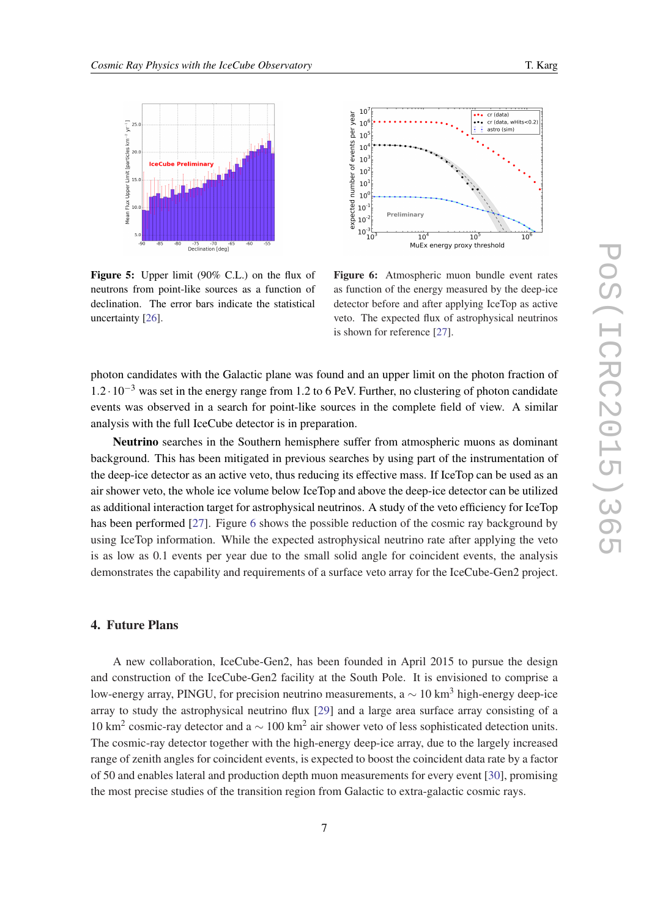<span id="page-6-0"></span>

Figure 5: Upper limit (90% C.L.) on the flux of neutrons from point-like sources as a function of declination. The error bars indicate the statistical uncertainty [[26\]](#page-7-0).



Figure 6: Atmospheric muon bundle event rates as function of the energy measured by the deep-ice detector before and after applying IceTop as active veto. The expected flux of astrophysical neutrinos is shown for reference [[27\]](#page-7-0).

photon candidates with the Galactic plane was found and an upper limit on the photon fraction of  $1.2 \cdot 10^{-3}$  was set in the energy range from 1.2 to 6 PeV. Further, no clustering of photon candidate events was observed in a search for point-like sources in the complete field of view. A similar analysis with the full IceCube detector is in preparation.

Neutrino searches in the Southern hemisphere suffer from atmospheric muons as dominant background. This has been mitigated in previous searches by using part of the instrumentation of the deep-ice detector as an active veto, thus reducing its effective mass. If IceTop can be used as an air shower veto, the whole ice volume below IceTop and above the deep-ice detector can be utilized as additional interaction target for astrophysical neutrinos. A study of the veto efficiency for IceTop has been performed [[27](#page-7-0)]. Figure 6 shows the possible reduction of the cosmic ray background by using IceTop information. While the expected astrophysical neutrino rate after applying the veto is as low as 0.1 events per year due to the small solid angle for coincident events, the analysis demonstrates the capability and requirements of a surface veto array for the IceCube-Gen2 project.

# 4. Future Plans

A new collaboration, IceCube-Gen2, has been founded in April 2015 to pursue the design and construction of the IceCube-Gen2 facility at the South Pole. It is envisioned to comprise a low-energy array, PINGU, for precision neutrino measurements,  $a \sim 10 \text{ km}^3$  high-energy deep-ice array to study the astrophysical neutrino flux [[29\]](#page-7-0) and a large area surface array consisting of a 10 km<sup>2</sup> cosmic-ray detector and a ∼ 100 km<sup>2</sup> air shower veto of less sophisticated detection units. The cosmic-ray detector together with the high-energy deep-ice array, due to the largely increased range of zenith angles for coincident events, is expected to boost the coincident data rate by a factor of 50 and enables lateral and production depth muon measurements for every event [[30\]](#page-7-0), promising the most precise studies of the transition region from Galactic to extra-galactic cosmic rays.